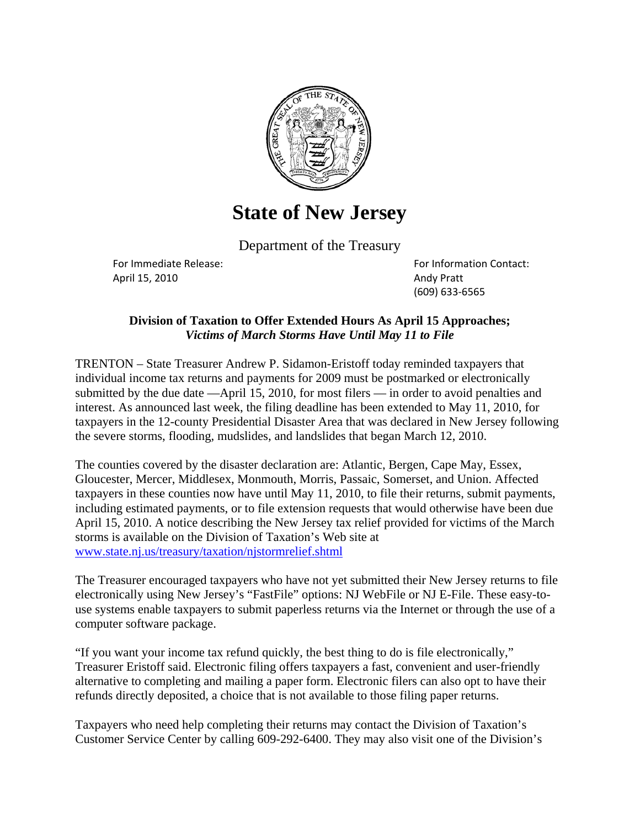

## **State of New Jersey**

Department of the Treasury

April 15, 2010 Andy Pratt

For Immediate Release:  $\blacksquare$ (609) 633‐6565

## **Division of Taxation to Offer Extended Hours As April 15 Approaches;**  *Victims of March Storms Have Until May 11 to File*

TRENTON – State Treasurer Andrew P. Sidamon-Eristoff today reminded taxpayers that individual income tax returns and payments for 2009 must be postmarked or electronically submitted by the due date —April 15, 2010, for most filers — in order to avoid penalties and interest. As announced last week, the filing deadline has been extended to May 11, 2010, for taxpayers in the 12-county Presidential Disaster Area that was declared in New Jersey following the severe storms, flooding, mudslides, and landslides that began March 12, 2010.

The counties covered by the disaster declaration are: Atlantic, Bergen, Cape May, Essex, Gloucester, Mercer, Middlesex, Monmouth, Morris, Passaic, Somerset, and Union. Affected taxpayers in these counties now have until May 11, 2010, to file their returns, submit payments, including estimated payments, or to file extension requests that would otherwise have been due April 15, 2010. A notice describing the New Jersey tax relief provided for victims of the March storms is available on the Division of Taxation's Web site at www.state.nj.us/treasury/taxation/njstormrelief.shtml

The Treasurer encouraged taxpayers who have not yet submitted their New Jersey returns to file electronically using New Jersey's "FastFile" options: NJ WebFile or NJ E-File. These easy-touse systems enable taxpayers to submit paperless returns via the Internet or through the use of a computer software package.

"If you want your income tax refund quickly, the best thing to do is file electronically," Treasurer Eristoff said. Electronic filing offers taxpayers a fast, convenient and user-friendly alternative to completing and mailing a paper form. Electronic filers can also opt to have their refunds directly deposited, a choice that is not available to those filing paper returns.

Taxpayers who need help completing their returns may contact the Division of Taxation's Customer Service Center by calling 609-292-6400. They may also visit one of the Division's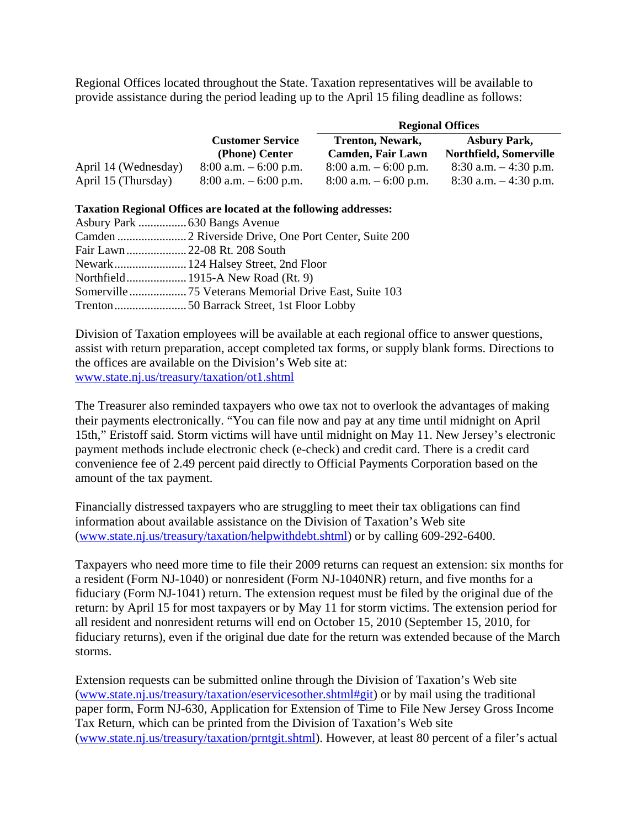Regional Offices located throughout the State. Taxation representatives will be available to provide assistance during the period leading up to the April 15 filing deadline as follows:

|                      |                          | <b>Regional Offices</b>  |                               |  |
|----------------------|--------------------------|--------------------------|-------------------------------|--|
|                      | <b>Customer Service</b>  | <b>Trenton, Newark,</b>  | <b>Asbury Park,</b>           |  |
|                      | (Phone) Center           | <b>Camden, Fair Lawn</b> | <b>Northfield, Somerville</b> |  |
| April 14 (Wednesday) | $8:00$ a.m. $-6:00$ p.m. | $8:00$ a.m. $-6:00$ p.m. | $8:30$ a.m. $-4:30$ p.m.      |  |
| April 15 (Thursday)  | $8:00$ a.m. $-6:00$ p.m. | $8:00$ a.m. $-6:00$ p.m. | $8:30$ a.m. $-4:30$ p.m.      |  |

## **Taxation Regional Offices are located at the following addresses:**

Division of Taxation employees will be available at each regional office to answer questions, assist with return preparation, accept completed tax forms, or supply blank forms. Directions to the offices are available on the Division's Web site at: www.state.nj.us/treasury/taxation/ot1.shtml

The Treasurer also reminded taxpayers who owe tax not to overlook the advantages of making their payments electronically. "You can file now and pay at any time until midnight on April 15th," Eristoff said. Storm victims will have until midnight on May 11. New Jersey's electronic payment methods include electronic check (e-check) and credit card. There is a credit card convenience fee of 2.49 percent paid directly to Official Payments Corporation based on the amount of the tax payment.

Financially distressed taxpayers who are struggling to meet their tax obligations can find information about available assistance on the Division of Taxation's Web site (www.state.nj.us/treasury/taxation/helpwithdebt.shtml) or by calling 609-292-6400.

Taxpayers who need more time to file their 2009 returns can request an extension: six months for a resident (Form NJ-1040) or nonresident (Form NJ-1040NR) return, and five months for a fiduciary (Form NJ-1041) return. The extension request must be filed by the original due of the return: by April 15 for most taxpayers or by May 11 for storm victims. The extension period for all resident and nonresident returns will end on October 15, 2010 (September 15, 2010, for fiduciary returns), even if the original due date for the return was extended because of the March storms.

Extension requests can be submitted online through the Division of Taxation's Web site (www.state.nj.us/treasury/taxation/eservicesother.shtml#git) or by mail using the traditional paper form, Form NJ-630, Application for Extension of Time to File New Jersey Gross Income Tax Return, which can be printed from the Division of Taxation's Web site (www.state.nj.us/treasury/taxation/prntgit.shtml). However, at least 80 percent of a filer's actual